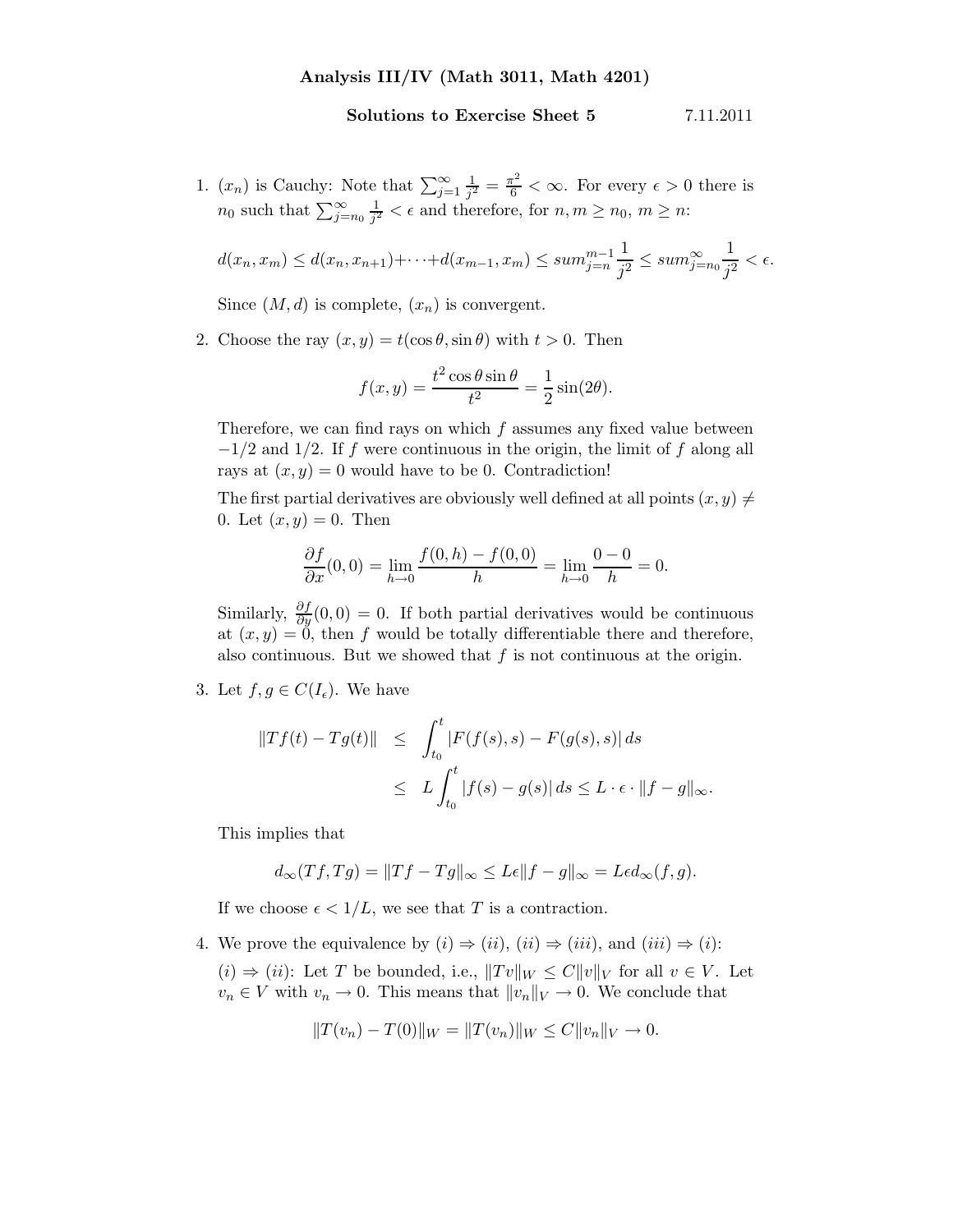## Solutions to Exercise Sheet 5 7.11.2011

1.  $(x_n)$  is Cauchy: Note that  $\sum_{j=1}^{\infty} \frac{1}{j^2}$  $\frac{1}{j^2} = \frac{\pi^2}{6} < \infty$ . For every  $\epsilon > 0$  there is  $n_0$  such that  $\sum_{j=n_0}^{\infty} \frac{1}{j^2}$  $\frac{1}{j^2} < \epsilon$  and therefore, for  $n, m \geq n_0, m \geq n$ :

$$
d(x_n, x_m) \le d(x_n, x_{n+1}) + \dots + d(x_{m-1}, x_m) \le \sum_{j=n}^{m-1} \frac{1}{j^2} \le \sum_{j=n}^{m} \frac{1}{j^2} < \epsilon.
$$

Since  $(M, d)$  is complete,  $(x_n)$  is convergent.

2. Choose the ray  $(x, y) = t(\cos \theta, \sin \theta)$  with  $t > 0$ . Then

$$
f(x,y) = \frac{t^2 \cos \theta \sin \theta}{t^2} = \frac{1}{2} \sin(2\theta).
$$

Therefore, we can find rays on which  $f$  assumes any fixed value between  $-1/2$  and 1/2. If f were continuous in the origin, the limit of f along all rays at  $(x, y) = 0$  would have to be 0. Contradiction!

The first partial derivatives are obviously well defined at all points  $(x, y) \neq$ 0. Let  $(x, y) = 0$ . Then

$$
\frac{\partial f}{\partial x}(0,0) = \lim_{h \to 0} \frac{f(0,h) - f(0,0)}{h} = \lim_{h \to 0} \frac{0-0}{h} = 0.
$$

Similarly,  $\frac{\partial f}{\partial y}(0,0) = 0$ . If both partial derivatives would be continuous at  $(x, y) = 0$ , then f would be totally differentiable there and therefore, also continuous. But we showed that  $f$  is not continuous at the origin.

3. Let  $f, g \in C(I_{\epsilon})$ . We have

$$
\begin{aligned} ||Tf(t) - Tg(t)|| &\leq \int_{t_0}^t |F(f(s), s) - F(g(s), s)| \, ds \\ &\leq L \int_{t_0}^t |f(s) - g(s)| \, ds \leq L \cdot \epsilon \cdot ||f - g||_{\infty} . \end{aligned}
$$

This implies that

$$
d_{\infty}(Tf,Tg) = ||Tf - Tg||_{\infty} \le L\epsilon ||f - g||_{\infty} = L\epsilon d_{\infty}(f,g).
$$

If we choose  $\epsilon < 1/L$ , we see that T is a contraction.

4. We prove the equivalence by  $(i) \Rightarrow (ii)$ ,  $(ii) \Rightarrow (iii)$ , and  $(iii) \Rightarrow (i)$ :

 $(i) \Rightarrow (ii)$ : Let T be bounded, i.e.,  $||Tv||_W \leq C||v||_V$  for all  $v \in V$ . Let  $v_n \in V$  with  $v_n \to 0$ . This means that  $||v_n||_V \to 0$ . We conclude that

$$
||T(v_n) - T(0)||_W = ||T(v_n)||_W \le C||v_n||_V \to 0.
$$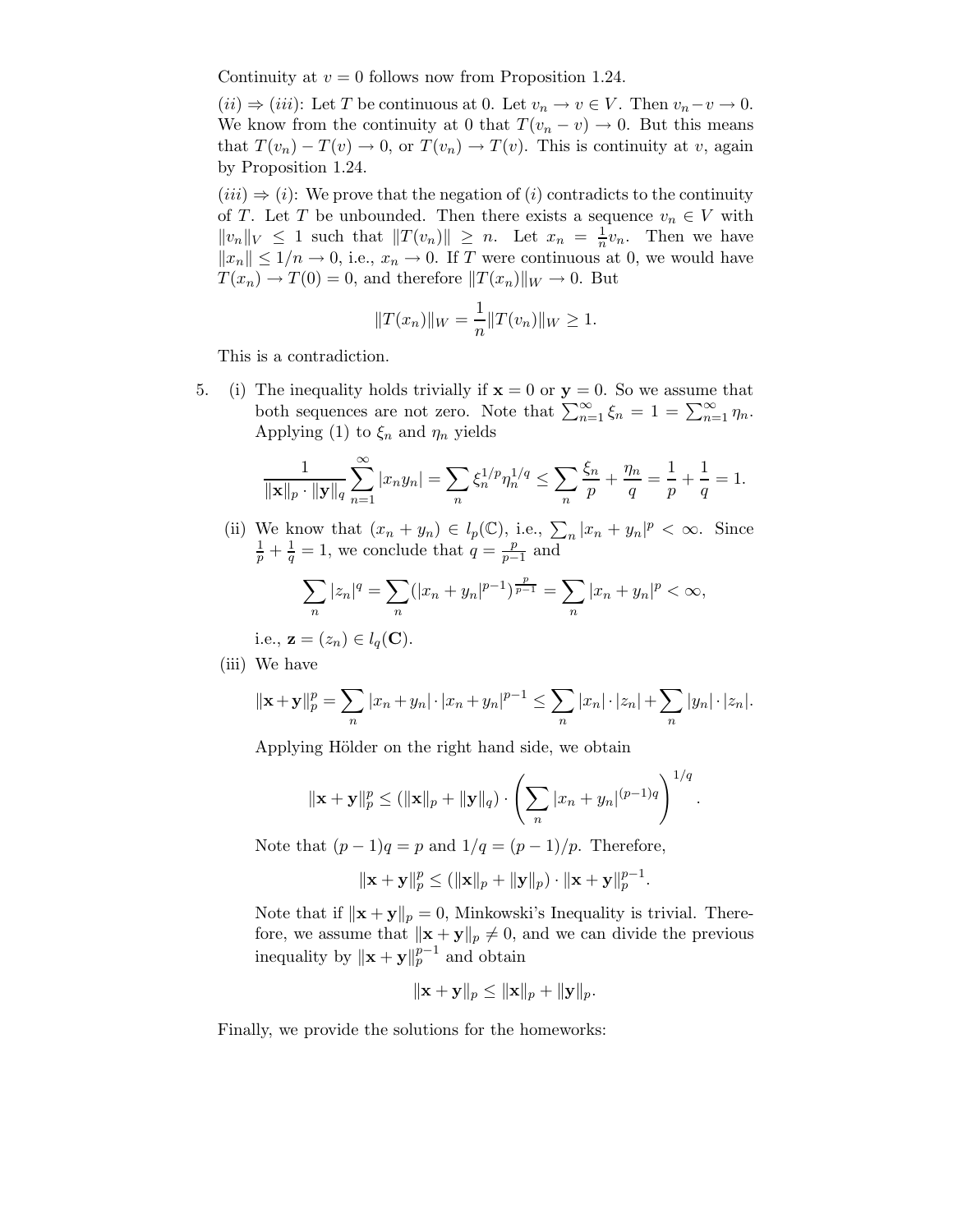Continuity at  $v = 0$  follows now from Proposition 1.24.

 $(ii) \Rightarrow (iii)$ : Let T be continuous at 0. Let  $v_n \to v \in V$ . Then  $v_n-v \to 0$ . We know from the continuity at 0 that  $T(v_n - v) \to 0$ . But this means that  $T(v_n) - T(v) \to 0$ , or  $T(v_n) \to T(v)$ . This is continuity at v, again by Proposition 1.24.

 $(iii) \Rightarrow (i)$ : We prove that the negation of  $(i)$  contradicts to the continuity of T. Let T be unbounded. Then there exists a sequence  $v_n \in V$  with  $||v_n||_V \leq 1$  such that  $||T(v_n)|| \geq n$ . Let  $x_n = \frac{1}{n}v_n$ . Then we have  $||x_n|| \leq 1/n \to 0$ , i.e.,  $x_n \to 0$ . If T were continuous at 0, we would have  $T(x_n) \to T(0) = 0$ , and therefore  $||T(x_n)||_W \to 0$ . But

$$
||T(x_n)||_W = \frac{1}{n}||T(v_n)||_W \ge 1.
$$

This is a contradiction.

5. (i) The inequality holds trivially if  $x = 0$  or  $y = 0$ . So we assume that both sequences are not zero. Note that  $\sum_{n=1}^{\infty} \xi_n = 1 = \sum_{n=1}^{\infty} \eta_n$ . Applying (1) to  $\xi_n$  and  $\eta_n$  yields

$$
\frac{1}{\|\mathbf{x}\|_p \cdot \|\mathbf{y}\|_q} \sum_{n=1}^{\infty} |x_n y_n| = \sum_n \xi_n^{1/p} \eta_n^{1/q} \le \sum_n \frac{\xi_n}{p} + \frac{\eta_n}{q} = \frac{1}{p} + \frac{1}{q} = 1.
$$

(ii) We know that  $(x_n + y_n) \in l_p(\mathbb{C})$ , i.e.,  $\sum_n |x_n + y_n|^p < \infty$ . Since  $\frac{1}{p} + \frac{1}{q} = 1$ , we conclude that  $q = \frac{p}{p-1}$  and

$$
\sum_{n} |z_n|^q = \sum_{n} (|x_n + y_n|^{p-1})^{\frac{p}{p-1}} = \sum_{n} |x_n + y_n|^p < \infty,
$$

i.e., 
$$
\mathbf{z} = (z_n) \in l_q(\mathbf{C}).
$$

(iii) We have

$$
\|\mathbf{x} + \mathbf{y}\|_{p}^{p} = \sum_{n} |x_{n} + y_{n}| \cdot |x_{n} + y_{n}|^{p-1} \leq \sum_{n} |x_{n}| \cdot |z_{n}| + \sum_{n} |y_{n}| \cdot |z_{n}|.
$$

Applying Hölder on the right hand side, we obtain

$$
\|\mathbf{x} + \mathbf{y}\|_p^p \le (\|\mathbf{x}\|_p + \|\mathbf{y}\|_q) \cdot \left(\sum_n |x_n + y_n|^{(p-1)q}\right)^{1/q}.
$$

Note that  $(p-1)q = p$  and  $1/q = (p-1)/p$ . Therefore,

$$
\|\mathbf{x}+\mathbf{y}\|_p^p \leq (\|\mathbf{x}\|_p + \|\mathbf{y}\|_p) \cdot \|\mathbf{x}+\mathbf{y}\|_p^{p-1}
$$

.

Note that if  $\|\mathbf{x} + \mathbf{y}\|_p = 0$ , Minkowski's Inequality is trivial. Therefore, we assume that  $\|\mathbf{x} + \mathbf{y}\|_p \neq 0$ , and we can divide the previous inequality by  $\|\mathbf{x} + \mathbf{y}\|_p^{p-1}$  and obtain

$$
\|\mathbf{x} + \mathbf{y}\|_p \le \|\mathbf{x}\|_p + \|\mathbf{y}\|_p.
$$

Finally, we provide the solutions for the homeworks: